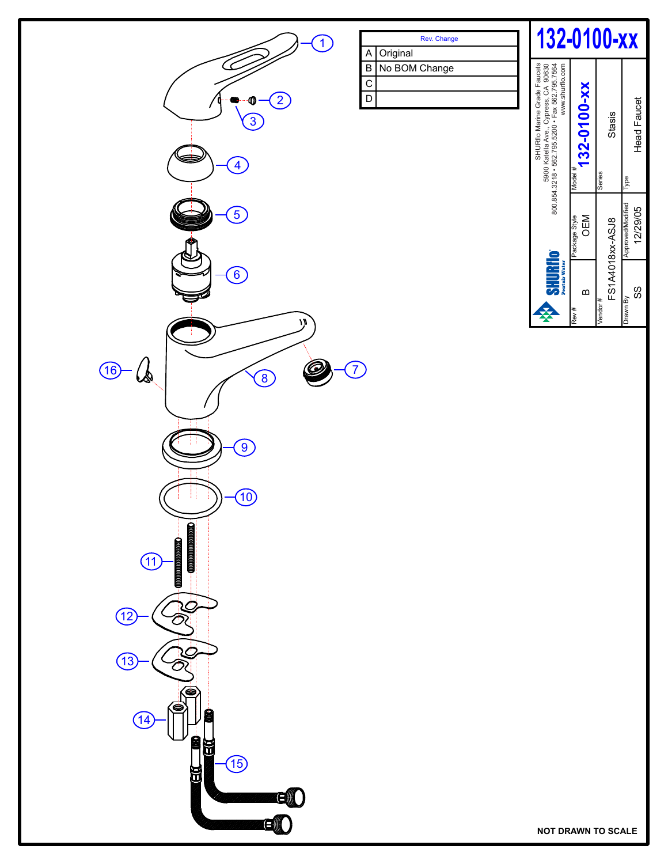